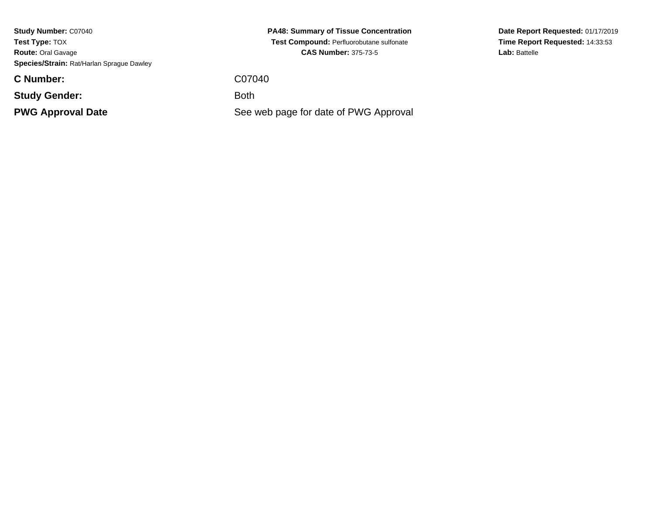**Study Number:** C07040**Test Type:** TOX **Route:** Oral Gavage**Species/Strain:** Rat/Harlan Sprague Dawley

**C Number:**

**Study Gender:**

**PWG Approval Date**

**PA48: Summary of Tissue Concentration Test Compound:** Perfluorobutane sulfonate**CAS Number:** 375-73-5

C07040

: Both

See web page for date of PWG Approval

**Date Report Requested:** 01/17/2019**Time Report Requested:** 14:33:53Lab: Battelle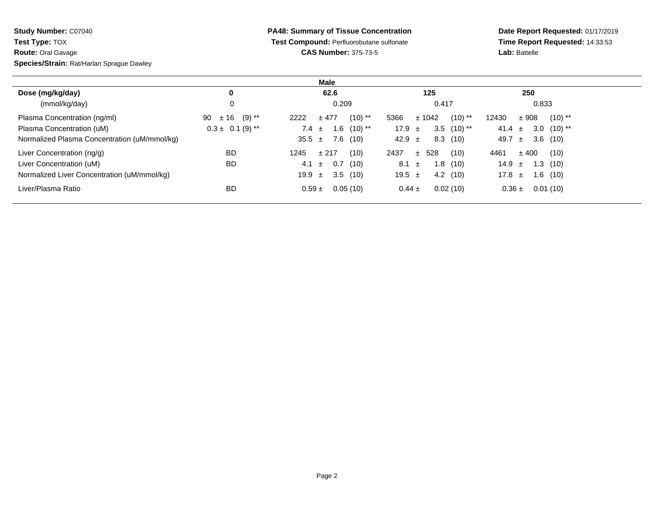**Study Number:** C07040**Test Type:** TOX

**Route:** Oral Gavage

**Species/Strain:** Rat/Harlan Sprague Dawley

## **PA48: Summary of Tissue Concentration Test Compound:** Perfluorobutane sulfonate**CAS Number:** 375-73-5

**Date Report Requested:** 01/17/2019 **Time Report Requested:** 14:33:53**Lab:** Battelle

|                                              |                      | Male                        |                             |                             |
|----------------------------------------------|----------------------|-----------------------------|-----------------------------|-----------------------------|
| Dose (mg/kg/day)                             | 0                    | 62.6                        | 125                         | 250                         |
| (mmol/kg/day)                                |                      | 0.209                       | 0.417                       | 0.833                       |
| Plasma Concentration (ng/ml)                 | 90 $\pm 16$ (9) **   | $(10)$ **<br>2222<br>± 477  | $(10)$ **<br>5366<br>± 1042 | $(10)$ **<br>± 908<br>12430 |
| Plasma Concentration (uM)                    | $0.3 \pm 0.1$ (9) ** | 1.6 $(10)$ **<br>7.4 $\pm$  | $3.5$ (10) **<br>17.9 $\pm$ | $3.0$ (10) **<br>41.4 $\pm$ |
| Normalized Plasma Concentration (uM/mmol/kg) |                      | 7.6 (10)<br>35.5 $\pm$      | 8.3(10)<br>42.9 $\pm$       | 3.6(10)<br>49.7 $\pm$       |
| Liver Concentration (ng/g)                   | <b>BD</b>            | (10)<br>1245<br>± 217       | ± 528<br>2437<br>(10)       | $±$ 400<br>4461<br>(10)     |
| Liver Concentration (uM)                     | <b>BD</b>            | 0.7<br>(10)<br>4.1<br>$\pm$ | $8.1 \pm$<br>1.8(10)        | 14.9 $\pm$<br>1.3(10)       |
| Normalized Liver Concentration (uM/mmol/kg)  |                      | 3.5(10)<br>19.9 $\pm$       | 4.2(10)<br>19.5 $\pm$       | 1.6(10)<br>17.8 $\pm$       |
| Liver/Plasma Ratio                           | BD                   | 0.05(10)<br>$0.59 \pm$      | 0.02(10)<br>$0.44 \pm$      | 0.01(10)<br>$0.36 \pm$      |
|                                              |                      |                             |                             |                             |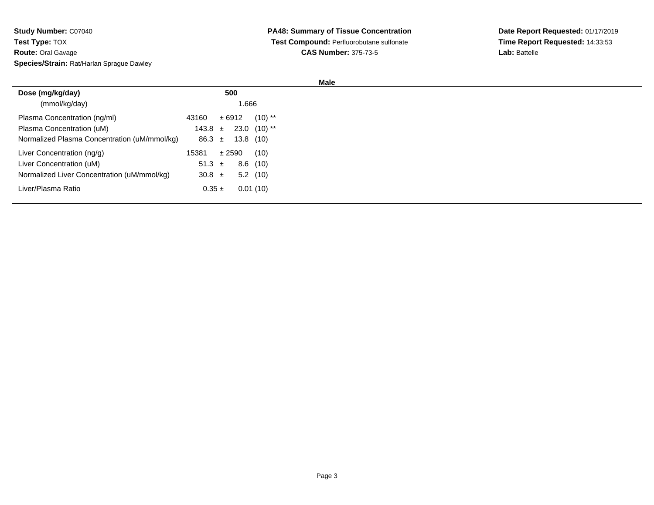| <b>Study Number: C07040</b>               |
|-------------------------------------------|
| <b>Test Type: TOX</b>                     |
| <b>Route: Oral Gavage</b>                 |
| Species/Strain: Rat/Harlan Sprague Dawley |

| Dose (mg/kg/day)                             | 500                                 |            |
|----------------------------------------------|-------------------------------------|------------|
| (mmol/kg/day)                                |                                     | 1.666      |
| Plasma Concentration (ng/ml)                 | ± 6912<br>43160                     | $(10)$ **  |
| Plasma Concentration (uM)                    | $143.8 \pm 23.0 (10)$ <sup>**</sup> |            |
| Normalized Plasma Concentration (uM/mmol/kg) | 86.3 $\pm$                          | 13.8 (10)  |
| Liver Concentration (ng/g)                   | ± 2590<br>15381                     | (10)       |
| Liver Concentration (uM)                     | 51.3 $\pm$                          | $8.6$ (10) |
| Normalized Liver Concentration (uM/mmol/kg)  | 30.8 $\pm$                          | $5.2$ (10) |
| Liver/Plasma Ratio                           | $0.35 \pm$                          | 0.01(10)   |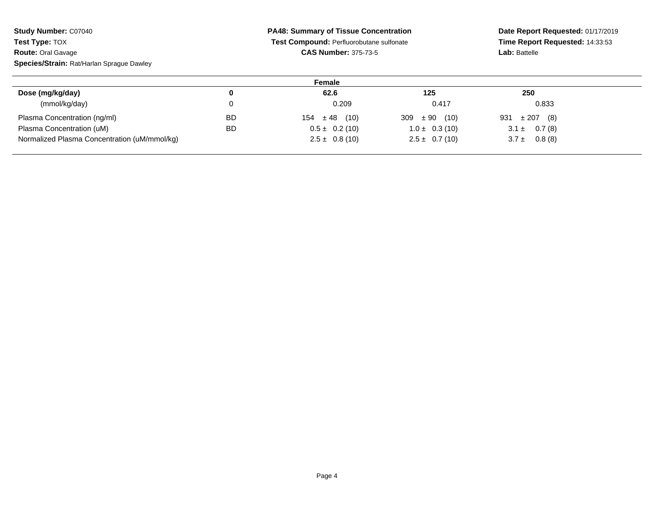| <b>Study Number: C07040</b>                  | <b>PA48: Summary of Tissue Concentration</b> |                                          |                    | Date Report Requested: 01/17/2019 |  |
|----------------------------------------------|----------------------------------------------|------------------------------------------|--------------------|-----------------------------------|--|
| <b>Test Type: TOX</b>                        |                                              | Test Compound: Perfluorobutane sulfonate |                    | Time Report Requested: 14:33:53   |  |
| <b>Route: Oral Gavage</b>                    |                                              | <b>CAS Number: 375-73-5</b>              |                    | <b>Lab: Battelle</b>              |  |
| Species/Strain: Rat/Harlan Sprague Dawley    |                                              |                                          |                    |                                   |  |
|                                              |                                              | Female                                   |                    |                                   |  |
| Dose (mg/kg/day)                             | 0                                            | 62.6                                     | 125                | 250                               |  |
| (mmol/kg/day)                                | 0                                            | 0.209                                    | 0.417              | 0.833                             |  |
| Plasma Concentration (ng/ml)                 | <b>BD</b>                                    | $\pm 48$ (10)<br>154                     | $± 90$ (10)<br>309 | 931<br>$\pm 207$ (8)              |  |
| Plasma Concentration (uM)                    | <b>BD</b>                                    | $0.5 \pm 0.2$ (10)                       | $1.0 \pm 0.3(10)$  | $3.1 \pm 0.7(8)$                  |  |
| Normalized Plasma Concentration (uM/mmol/kg) |                                              | $2.5 \pm 0.8(10)$                        | $2.5 \pm 0.7(10)$  | $3.7 \pm 0.8(8)$                  |  |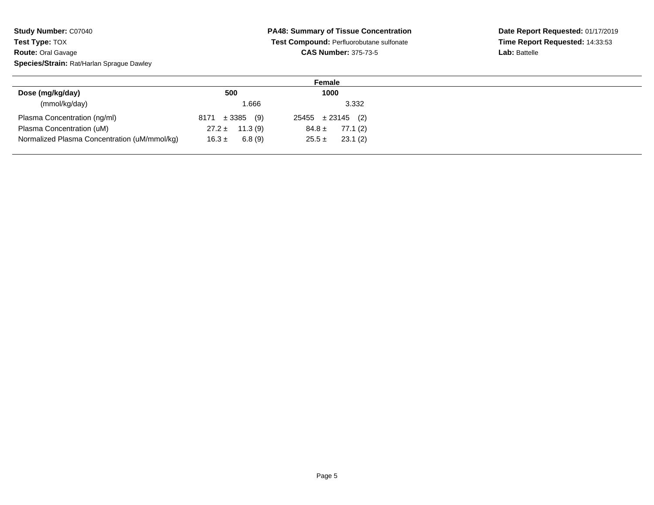## **PA48: Summary of Tissue Concentration Test Compound:** Perfluorobutane sulfonate**CAS Number:** 375-73-5

|                                              |                        | Female                 |
|----------------------------------------------|------------------------|------------------------|
| Dose (mg/kg/day)                             | 500                    | 1000                   |
| (mmol/kg/day)                                | 1.666                  | 3.332                  |
| Plasma Concentration (ng/ml)                 | $8171 \pm 3385$<br>(9) | $25455 \pm 23145$ (2)  |
| Plasma Concentration (uM)                    | $27.2 \pm 11.3(9)$     | 77.1 (2)<br>$84.8 \pm$ |
| Normalized Plasma Concentration (uM/mmol/kg) | 6.8(9)<br>$16.3 \pm$   | 23.1 (2)<br>$25.5 \pm$ |
|                                              |                        |                        |